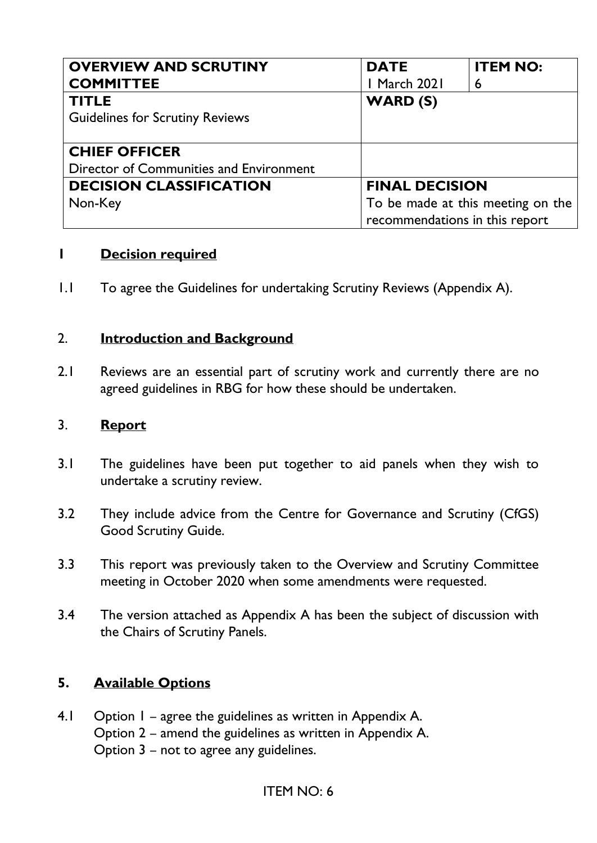| <b>OVERVIEW AND SCRUTINY</b>            | <b>DATE</b>                       | <b>ITEM NO:</b> |
|-----------------------------------------|-----------------------------------|-----------------|
| <b>COMMITTEE</b>                        | <b>I March 2021</b>               | 6               |
| <b>TITLE</b>                            | <b>WARD (S)</b>                   |                 |
| <b>Guidelines for Scrutiny Reviews</b>  |                                   |                 |
|                                         |                                   |                 |
| <b>CHIEF OFFICER</b>                    |                                   |                 |
| Director of Communities and Environment |                                   |                 |
| <b>DECISION CLASSIFICATION</b>          | <b>FINAL DECISION</b>             |                 |
| Non-Key                                 | To be made at this meeting on the |                 |
|                                         | recommendations in this report    |                 |

### **1 Decision required**

1.1 To agree the Guidelines for undertaking Scrutiny Reviews (Appendix A).

#### 2. **Introduction and Background**

2.1 Reviews are an essential part of scrutiny work and currently there are no agreed guidelines in RBG for how these should be undertaken.

#### 3. **Report**

- 3.1 The guidelines have been put together to aid panels when they wish to undertake a scrutiny review.
- 3.2 They include advice from the Centre for Governance and Scrutiny (CfGS) Good Scrutiny Guide.
- 3.3 This report was previously taken to the Overview and Scrutiny Committee meeting in October 2020 when some amendments were requested.
- 3.4 The version attached as Appendix A has been the subject of discussion with the Chairs of Scrutiny Panels.

### **5. Available Options**

4.1 Option 1 – agree the guidelines as written in Appendix A. Option 2 – amend the guidelines as written in Appendix A. Option 3 – not to agree any guidelines.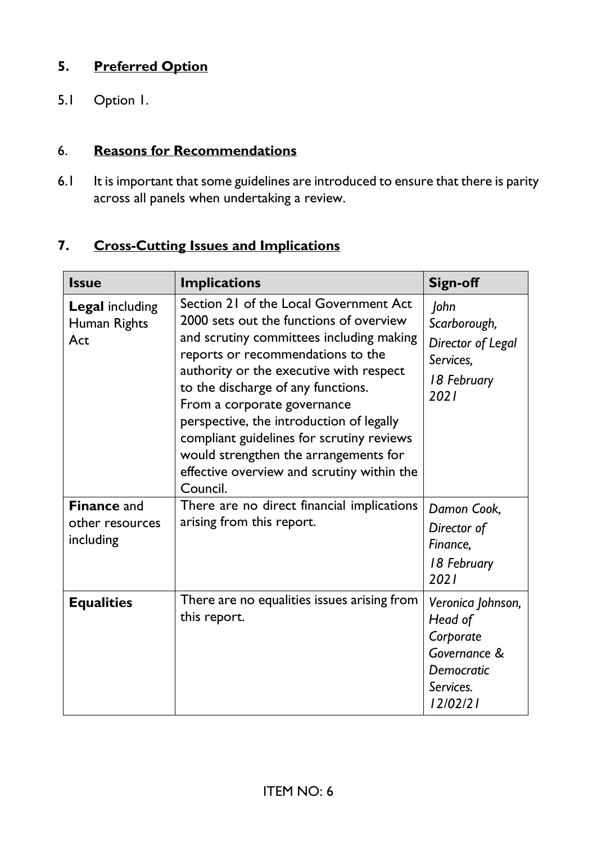## **5. Preferred Option**

5.1 Option 1.

### 6. **Reasons for Recommendations**

6.1 It is important that some guidelines are introduced to ensure that there is parity across all panels when undertaking a review.

### **7. Cross-Cutting Issues and Implications**

| <b>Issue</b>                                       | <b>Implications</b>                                                                                                                                                                                                                                                                                                                                                                                                                                                            | Sign-off                                                                                         |
|----------------------------------------------------|--------------------------------------------------------------------------------------------------------------------------------------------------------------------------------------------------------------------------------------------------------------------------------------------------------------------------------------------------------------------------------------------------------------------------------------------------------------------------------|--------------------------------------------------------------------------------------------------|
| <b>Legal including</b><br>Human Rights<br>Act      | Section 21 of the Local Government Act<br>2000 sets out the functions of overview<br>and scrutiny committees including making<br>reports or recommendations to the<br>authority or the executive with respect<br>to the discharge of any functions.<br>From a corporate governance<br>perspective, the introduction of legally<br>compliant guidelines for scrutiny reviews<br>would strengthen the arrangements for<br>effective overview and scrutiny within the<br>Council. | John<br>Scarborough,<br>Director of Legal<br>Services,<br>18 February<br>2021                    |
| <b>Finance and</b><br>other resources<br>including | There are no direct financial implications<br>arising from this report.                                                                                                                                                                                                                                                                                                                                                                                                        | Damon Cook,<br>Director of<br>Finance,<br>18 February<br>2021                                    |
| <b>Equalities</b>                                  | There are no equalities issues arising from<br>this report.                                                                                                                                                                                                                                                                                                                                                                                                                    | Veronica Johnson,<br>Head of<br>Corporate<br>Governance &<br>Democratic<br>Services.<br>12/02/21 |